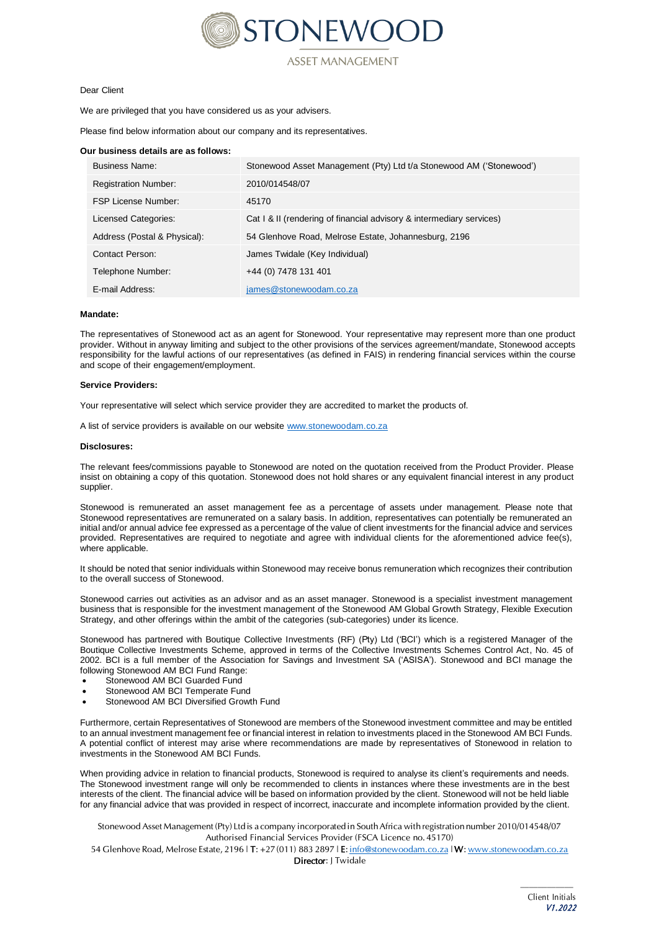

ASSET MANAGEMENT

## Dear Client

We are privileged that you have considered us as your advisers.

Please find below information about our company and its representatives.

#### **Our business details are as follows:**

| <b>Business Name:</b>        | Stonewood Asset Management (Pty) Ltd t/a Stonewood AM ('Stonewood')  |
|------------------------------|----------------------------------------------------------------------|
| <b>Registration Number:</b>  | 2010/014548/07                                                       |
| <b>FSP License Number:</b>   | 45170                                                                |
| Licensed Categories:         | Cat I & II (rendering of financial advisory & intermediary services) |
| Address (Postal & Physical): | 54 Glenhove Road, Melrose Estate, Johannesburg, 2196                 |
| Contact Person:              | James Twidale (Key Individual)                                       |
| Telephone Number:            | +44 (0) 7478 131 401                                                 |
| E-mail Address:              | james@stonewoodam.co.za                                              |

## **Mandate:**

The representatives of Stonewood act as an agent for Stonewood. Your representative may represent more than one product provider. Without in anyway limiting and subject to the other provisions of the services agreement/mandate, Stonewood accepts responsibility for the lawful actions of our representatives (as defined in FAIS) in rendering financial services within the course and scope of their engagement/employment.

#### **Service Providers:**

Your representative will select which service provider they are accredited to market the products of.

A list of service providers is available on our websit[e www.stonewoodam.co.za](http://www.stonewoodam.co.za/)

#### **Disclosures:**

The relevant fees/commissions payable to Stonewood are noted on the quotation received from the Product Provider. Please insist on obtaining a copy of this quotation. Stonewood does not hold shares or any equivalent financial interest in any product supplier.

Stonewood is remunerated an asset management fee as a percentage of assets under management. Please note that Stonewood representatives are remunerated on a salary basis. In addition, representatives can potentially be remunerated an initial and/or annual advice fee expressed as a percentage of the value of client investments for the financial advice and services provided. Representatives are required to negotiate and agree with individual clients for the aforementioned advice fee(s), where applicable.

It should be noted that senior individuals within Stonewood may receive bonus remuneration which recognizes their contribution to the overall success of Stonewood.

Stonewood carries out activities as an advisor and as an asset manager. Stonewood is a specialist investment management business that is responsible for the investment management of the Stonewood AM Global Growth Strategy, Flexible Execution Strategy, and other offerings within the ambit of the categories (sub-categories) under its licence.

Stonewood has partnered with Boutique Collective Investments (RF) (Pty) Ltd ('BCI') which is a registered Manager of the Boutique Collective Investments Scheme, approved in terms of the Collective Investments Schemes Control Act, No. 45 of 2002. BCI is a full member of the Association for Savings and Investment SA ('ASISA'). Stonewood and BCI manage the following Stonewood AM BCI Fund Range:

- Stonewood AM BCI Guarded Fund
- Stonewood AM BCI Temperate Fund
- Stonewood AM BCI Diversified Growth Fund

Furthermore, certain Representatives of Stonewood are members of the Stonewood investment committee and may be entitled to an annual investment management fee or financial interest in relation to investments placed in the Stonewood AM BCI Funds. A potential conflict of interest may arise where recommendations are made by representatives of Stonewood in relation to investments in the Stonewood AM BCI Funds.

When providing advice in relation to financial products, Stonewood is required to analyse its client's requirements and needs. The Stonewood investment range will only be recommended to clients in instances where these investments are in the best interests of the client. The financial advice will be based on information provided by the client. Stonewood will not be held liable for any financial advice that was provided in respect of incorrect, inaccurate and incomplete information provided by the client.

*Stonewood Asset Management (Pty) Ltd is a company incorporated in SouthAfrica with registration number 2010/014548/07 Authorised Financial Services Provider (FSCA Licence no. 45170)*

54 Glenhove Road, Melrose Estate, 2196 | T: +27 (011) 883 2897 | E: [info@stonewoodam.co.za](mailto:info@stonewoodam.co.za) | W: [www.stonewoodam.co.za](http://www.stonewoodam.co.za/)

*Director: J Twidale*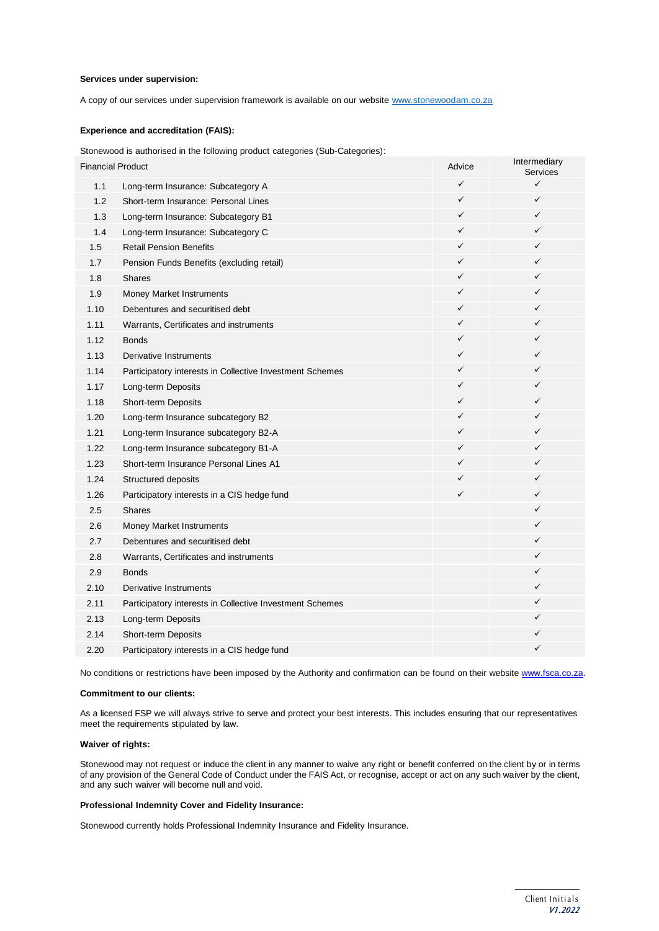## **Services under supervision:**

A copy of our services under supervision framework is available on our website [www.stonewoodam.co.za](http://www.stonewoodam.co.za/)

## **Experience and accreditation (FAIS):**

Stonewood is authorised in the following product categories (Sub-Categories):

| $\checkmark$<br>✓<br>1.1<br>Long-term Insurance: Subcategory A<br>$\checkmark$<br>✓<br>1.2<br>Short-term Insurance: Personal Lines<br>$\checkmark$<br>✓<br>1.3<br>Long-term Insurance: Subcategory B1<br>$\checkmark$<br>✓<br>1.4<br>Long-term Insurance: Subcategory C<br>✓<br>✓<br>1.5<br><b>Retail Pension Benefits</b><br>$\checkmark$<br>✓<br>1.7<br>Pension Funds Benefits (excluding retail)<br>✓<br>✓<br>1.8<br><b>Shares</b><br>$\checkmark$<br>✓<br>1.9<br>Money Market Instruments<br>$\checkmark$<br>✓<br>1.10<br>Debentures and securitised debt<br>✓<br>✓<br>1.11<br>Warrants, Certificates and instruments<br>$\checkmark$<br>✓<br>1.12<br><b>Bonds</b><br>1.13<br>$\checkmark$<br>✓<br>Derivative Instruments<br>✓<br>✓<br>1.14<br>Participatory interests in Collective Investment Schemes<br>✓<br>✓<br>1.17<br>Long-term Deposits<br>$\checkmark$<br>1.18<br>✓<br>Short-term Deposits<br>$\checkmark$<br>✓<br>1.20<br>Long-term Insurance subcategory B2<br>✓<br>✓<br>1.21<br>Long-term Insurance subcategory B2-A<br>1.22<br>✓<br>✓<br>Long-term Insurance subcategory B1-A<br>✓<br>✓<br>1.23<br>Short-term Insurance Personal Lines A1<br>✓<br>✓<br>1.24<br>Structured deposits<br>$\checkmark$<br>1.26<br>✓<br>Participatory interests in a CIS hedge fund<br>✓<br>2.5<br><b>Shares</b><br>✓<br>2.6<br>Money Market Instruments<br>✓<br>2.7<br>Debentures and securitised debt<br>✓<br>2.8<br>Warrants, Certificates and instruments<br>✓<br>2.9<br><b>Bonds</b><br>✓<br>2.10<br>Derivative Instruments<br>✓<br>2.11<br>Participatory interests in Collective Investment Schemes<br>2.13<br>✓<br>Long-term Deposits<br>2.14<br>✓<br>Short-term Deposits<br>✓<br>2.20<br>Participatory interests in a CIS hedge fund | <b>Financial Product</b> |  | Advice | Intermediary<br>Services |
|------------------------------------------------------------------------------------------------------------------------------------------------------------------------------------------------------------------------------------------------------------------------------------------------------------------------------------------------------------------------------------------------------------------------------------------------------------------------------------------------------------------------------------------------------------------------------------------------------------------------------------------------------------------------------------------------------------------------------------------------------------------------------------------------------------------------------------------------------------------------------------------------------------------------------------------------------------------------------------------------------------------------------------------------------------------------------------------------------------------------------------------------------------------------------------------------------------------------------------------------------------------------------------------------------------------------------------------------------------------------------------------------------------------------------------------------------------------------------------------------------------------------------------------------------------------------------------------------------------------------------------------------------------------------------------------------------------------------------------------|--------------------------|--|--------|--------------------------|
|                                                                                                                                                                                                                                                                                                                                                                                                                                                                                                                                                                                                                                                                                                                                                                                                                                                                                                                                                                                                                                                                                                                                                                                                                                                                                                                                                                                                                                                                                                                                                                                                                                                                                                                                          |                          |  |        |                          |
|                                                                                                                                                                                                                                                                                                                                                                                                                                                                                                                                                                                                                                                                                                                                                                                                                                                                                                                                                                                                                                                                                                                                                                                                                                                                                                                                                                                                                                                                                                                                                                                                                                                                                                                                          |                          |  |        |                          |
|                                                                                                                                                                                                                                                                                                                                                                                                                                                                                                                                                                                                                                                                                                                                                                                                                                                                                                                                                                                                                                                                                                                                                                                                                                                                                                                                                                                                                                                                                                                                                                                                                                                                                                                                          |                          |  |        |                          |
|                                                                                                                                                                                                                                                                                                                                                                                                                                                                                                                                                                                                                                                                                                                                                                                                                                                                                                                                                                                                                                                                                                                                                                                                                                                                                                                                                                                                                                                                                                                                                                                                                                                                                                                                          |                          |  |        |                          |
|                                                                                                                                                                                                                                                                                                                                                                                                                                                                                                                                                                                                                                                                                                                                                                                                                                                                                                                                                                                                                                                                                                                                                                                                                                                                                                                                                                                                                                                                                                                                                                                                                                                                                                                                          |                          |  |        |                          |
|                                                                                                                                                                                                                                                                                                                                                                                                                                                                                                                                                                                                                                                                                                                                                                                                                                                                                                                                                                                                                                                                                                                                                                                                                                                                                                                                                                                                                                                                                                                                                                                                                                                                                                                                          |                          |  |        |                          |
|                                                                                                                                                                                                                                                                                                                                                                                                                                                                                                                                                                                                                                                                                                                                                                                                                                                                                                                                                                                                                                                                                                                                                                                                                                                                                                                                                                                                                                                                                                                                                                                                                                                                                                                                          |                          |  |        |                          |
|                                                                                                                                                                                                                                                                                                                                                                                                                                                                                                                                                                                                                                                                                                                                                                                                                                                                                                                                                                                                                                                                                                                                                                                                                                                                                                                                                                                                                                                                                                                                                                                                                                                                                                                                          |                          |  |        |                          |
|                                                                                                                                                                                                                                                                                                                                                                                                                                                                                                                                                                                                                                                                                                                                                                                                                                                                                                                                                                                                                                                                                                                                                                                                                                                                                                                                                                                                                                                                                                                                                                                                                                                                                                                                          |                          |  |        |                          |
|                                                                                                                                                                                                                                                                                                                                                                                                                                                                                                                                                                                                                                                                                                                                                                                                                                                                                                                                                                                                                                                                                                                                                                                                                                                                                                                                                                                                                                                                                                                                                                                                                                                                                                                                          |                          |  |        |                          |
|                                                                                                                                                                                                                                                                                                                                                                                                                                                                                                                                                                                                                                                                                                                                                                                                                                                                                                                                                                                                                                                                                                                                                                                                                                                                                                                                                                                                                                                                                                                                                                                                                                                                                                                                          |                          |  |        |                          |
|                                                                                                                                                                                                                                                                                                                                                                                                                                                                                                                                                                                                                                                                                                                                                                                                                                                                                                                                                                                                                                                                                                                                                                                                                                                                                                                                                                                                                                                                                                                                                                                                                                                                                                                                          |                          |  |        |                          |
|                                                                                                                                                                                                                                                                                                                                                                                                                                                                                                                                                                                                                                                                                                                                                                                                                                                                                                                                                                                                                                                                                                                                                                                                                                                                                                                                                                                                                                                                                                                                                                                                                                                                                                                                          |                          |  |        |                          |
|                                                                                                                                                                                                                                                                                                                                                                                                                                                                                                                                                                                                                                                                                                                                                                                                                                                                                                                                                                                                                                                                                                                                                                                                                                                                                                                                                                                                                                                                                                                                                                                                                                                                                                                                          |                          |  |        |                          |
|                                                                                                                                                                                                                                                                                                                                                                                                                                                                                                                                                                                                                                                                                                                                                                                                                                                                                                                                                                                                                                                                                                                                                                                                                                                                                                                                                                                                                                                                                                                                                                                                                                                                                                                                          |                          |  |        |                          |
|                                                                                                                                                                                                                                                                                                                                                                                                                                                                                                                                                                                                                                                                                                                                                                                                                                                                                                                                                                                                                                                                                                                                                                                                                                                                                                                                                                                                                                                                                                                                                                                                                                                                                                                                          |                          |  |        |                          |
|                                                                                                                                                                                                                                                                                                                                                                                                                                                                                                                                                                                                                                                                                                                                                                                                                                                                                                                                                                                                                                                                                                                                                                                                                                                                                                                                                                                                                                                                                                                                                                                                                                                                                                                                          |                          |  |        |                          |
|                                                                                                                                                                                                                                                                                                                                                                                                                                                                                                                                                                                                                                                                                                                                                                                                                                                                                                                                                                                                                                                                                                                                                                                                                                                                                                                                                                                                                                                                                                                                                                                                                                                                                                                                          |                          |  |        |                          |
|                                                                                                                                                                                                                                                                                                                                                                                                                                                                                                                                                                                                                                                                                                                                                                                                                                                                                                                                                                                                                                                                                                                                                                                                                                                                                                                                                                                                                                                                                                                                                                                                                                                                                                                                          |                          |  |        |                          |
|                                                                                                                                                                                                                                                                                                                                                                                                                                                                                                                                                                                                                                                                                                                                                                                                                                                                                                                                                                                                                                                                                                                                                                                                                                                                                                                                                                                                                                                                                                                                                                                                                                                                                                                                          |                          |  |        |                          |
|                                                                                                                                                                                                                                                                                                                                                                                                                                                                                                                                                                                                                                                                                                                                                                                                                                                                                                                                                                                                                                                                                                                                                                                                                                                                                                                                                                                                                                                                                                                                                                                                                                                                                                                                          |                          |  |        |                          |
|                                                                                                                                                                                                                                                                                                                                                                                                                                                                                                                                                                                                                                                                                                                                                                                                                                                                                                                                                                                                                                                                                                                                                                                                                                                                                                                                                                                                                                                                                                                                                                                                                                                                                                                                          |                          |  |        |                          |
|                                                                                                                                                                                                                                                                                                                                                                                                                                                                                                                                                                                                                                                                                                                                                                                                                                                                                                                                                                                                                                                                                                                                                                                                                                                                                                                                                                                                                                                                                                                                                                                                                                                                                                                                          |                          |  |        |                          |
|                                                                                                                                                                                                                                                                                                                                                                                                                                                                                                                                                                                                                                                                                                                                                                                                                                                                                                                                                                                                                                                                                                                                                                                                                                                                                                                                                                                                                                                                                                                                                                                                                                                                                                                                          |                          |  |        |                          |
|                                                                                                                                                                                                                                                                                                                                                                                                                                                                                                                                                                                                                                                                                                                                                                                                                                                                                                                                                                                                                                                                                                                                                                                                                                                                                                                                                                                                                                                                                                                                                                                                                                                                                                                                          |                          |  |        |                          |
|                                                                                                                                                                                                                                                                                                                                                                                                                                                                                                                                                                                                                                                                                                                                                                                                                                                                                                                                                                                                                                                                                                                                                                                                                                                                                                                                                                                                                                                                                                                                                                                                                                                                                                                                          |                          |  |        |                          |
|                                                                                                                                                                                                                                                                                                                                                                                                                                                                                                                                                                                                                                                                                                                                                                                                                                                                                                                                                                                                                                                                                                                                                                                                                                                                                                                                                                                                                                                                                                                                                                                                                                                                                                                                          |                          |  |        |                          |
|                                                                                                                                                                                                                                                                                                                                                                                                                                                                                                                                                                                                                                                                                                                                                                                                                                                                                                                                                                                                                                                                                                                                                                                                                                                                                                                                                                                                                                                                                                                                                                                                                                                                                                                                          |                          |  |        |                          |
|                                                                                                                                                                                                                                                                                                                                                                                                                                                                                                                                                                                                                                                                                                                                                                                                                                                                                                                                                                                                                                                                                                                                                                                                                                                                                                                                                                                                                                                                                                                                                                                                                                                                                                                                          |                          |  |        |                          |
|                                                                                                                                                                                                                                                                                                                                                                                                                                                                                                                                                                                                                                                                                                                                                                                                                                                                                                                                                                                                                                                                                                                                                                                                                                                                                                                                                                                                                                                                                                                                                                                                                                                                                                                                          |                          |  |        |                          |
|                                                                                                                                                                                                                                                                                                                                                                                                                                                                                                                                                                                                                                                                                                                                                                                                                                                                                                                                                                                                                                                                                                                                                                                                                                                                                                                                                                                                                                                                                                                                                                                                                                                                                                                                          |                          |  |        |                          |

No conditions or restrictions have been imposed by the Authority and confirmation can be found on their websit[e www.fsca.co.za.](https://www.fsca.co.za/Fais/Search_FSP.htm)

## **Commitment to our clients:**

As a licensed FSP we will always strive to serve and protect your best interests. This includes ensuring that our representatives meet the requirements stipulated by law.

## **Waiver of rights:**

Stonewood may not request or induce the client in any manner to waive any right or benefit conferred on the client by or in terms of any provision of the General Code of Conduct under the FAIS Act, or recognise, accept or act on any such waiver by the client, and any such waiver will become null and void.

# **Professional Indemnity Cover and Fidelity Insurance:**

Stonewood currently holds Professional Indemnity Insurance and Fidelity Insurance.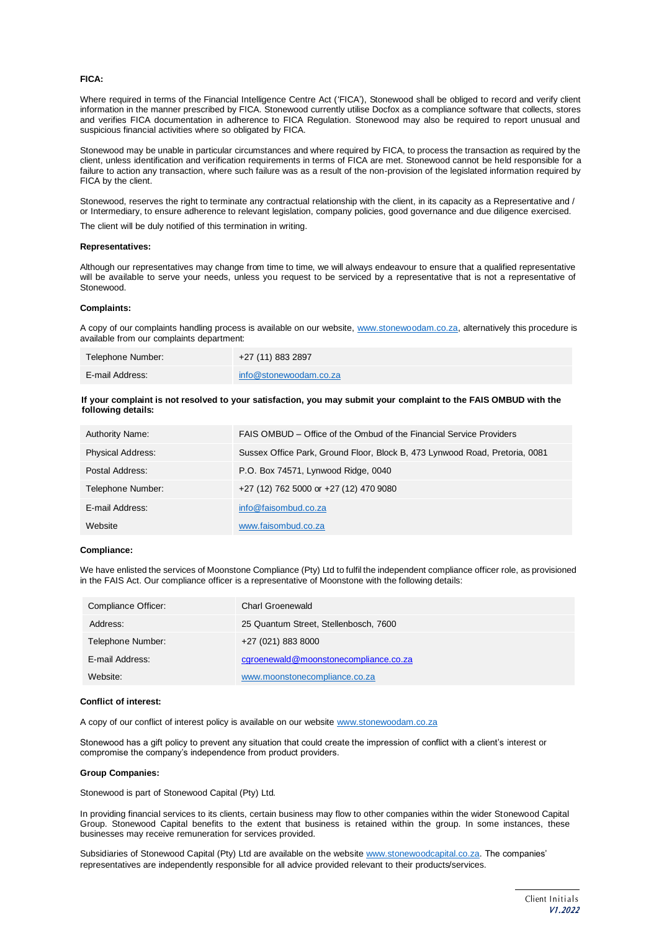## **FICA:**

Where required in terms of the Financial Intelligence Centre Act ('FICA'), Stonewood shall be obliged to record and verify client information in the manner prescribed by FICA. Stonewood currently utilise Docfox as a compliance software that collects, stores and verifies FICA documentation in adherence to FICA Regulation. Stonewood may also be required to report unusual and suspicious financial activities where so obligated by FICA.

Stonewood may be unable in particular circumstances and where required by FICA, to process the transaction as required by the client, unless identification and verification requirements in terms of FICA are met. Stonewood cannot be held responsible for a failure to action any transaction, where such failure was as a result of the non-provision of the legislated information required by FICA by the client.

Stonewood, reserves the right to terminate any contractual relationship with the client, in its capacity as a Representative and / or Intermediary, to ensure adherence to relevant legislation, company policies, good governance and due diligence exercised.

The client will be duly notified of this termination in writing.

#### **Representatives:**

Although our representatives may change from time to time, we will always endeavour to ensure that a qualified representative will be available to serve your needs, unless you request to be serviced by a representative that is not a representative of Stonewood.

### **Complaints:**

A copy of our complaints handling process is available on our website, [www.stonewoodam.co.za, a](http://www.stonewoodam.co.za/)lternatively this procedure is available from our complaints department:

| Telephone Number: | +27 (11) 883 2897      |
|-------------------|------------------------|
| E-mail Address:   | info@stonewoodam.co.za |

## **If your complaint is not resolved to your satisfaction, you may submit your complaint to the FAIS OMBUD with the following details:**

| <b>Authority Name:</b>   | FAIS OMBUD – Office of the Ombud of the Financial Service Providers         |
|--------------------------|-----------------------------------------------------------------------------|
| <b>Physical Address:</b> | Sussex Office Park, Ground Floor, Block B, 473 Lynwood Road, Pretoria, 0081 |
| Postal Address:          | P.O. Box 74571, Lynwood Ridge, 0040                                         |
| Telephone Number:        | +27 (12) 762 5000 or +27 (12) 470 9080                                      |
| E-mail Address:          | info@faisombud.co.za                                                        |
| Website                  | www.faisombud.co.za                                                         |

## **Compliance:**

We have enlisted the services of Moonstone Compliance (Pty) Ltd to fulfil the independent compliance officer role, as provisioned in the FAIS Act. Our compliance officer is a representative of Moonstone with the following details:

| Compliance Officer: | Charl Groenewald                      |
|---------------------|---------------------------------------|
| Address:            | 25 Quantum Street, Stellenbosch, 7600 |
| Telephone Number:   | +27 (021) 883 8000                    |
| E-mail Address:     | cgroenewald@moonstonecompliance.co.za |
| Website:            | www.moonstonecompliance.co.za         |

## **Conflict of interest:**

A copy of our conflict of interest policy is available on our websit[e www.stonewoodam.co.za](http://www.stonewoodam.co.za/)

Stonewood has a gift policy to prevent any situation that could create the impression of conflict with a client's interest or compromise the company's independence from product providers.

#### **Group Companies:**

Stonewood is part of Stonewood Capital (Pty) Ltd.

In providing financial services to its clients, certain business may flow to other companies within the wider Stonewood Capital Group. Stonewood Capital benefits to the extent that business is retained within the group. In some instances, these businesses may receive remuneration for services provided.

Subsidiaries of Stonewood Capital (Pty) Ltd are available on the websit[e www.stonewoodcapital.co.za. T](http://www.stonewoodcapital.co.za/)he companies' representatives are independently responsible for all advice provided relevant to their products/services.